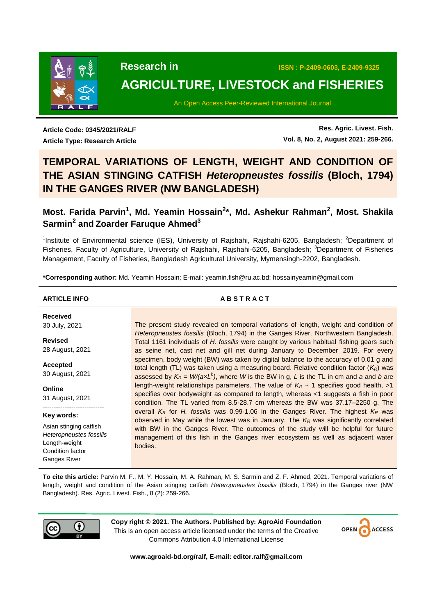

 **Research in ISSN : P-2409-0603, E-2409-9325**

# **AGRICULTURE, LIVESTOCK and FISHERIES**

An Open Access Peer-Reviewed International Journal

**Article Code: 0345/2021/RALF Article Type: Research Article**

**Res. Agric. Livest. Fish. Vol. 8, No. 2, August 2021: 259-266.**

# **TEMPORAL VARIATIONS OF LENGTH, WEIGHT AND CONDITION OF THE ASIAN STINGING CATFISH** *Heteropneustes fossilis* **(Bloch, 1794) IN THE GANGES RIVER (NW BANGLADESH)**

# **Most. Farida Parvin<sup>1</sup> , Md. Yeamin Hossain<sup>2</sup> \*, Md. Ashekur Rahman<sup>2</sup> , Most. Shakila Sarmin<sup>2</sup> and Zoarder Faruque Ahmed<sup>3</sup>**

<sup>1</sup>Institute of Environmental science (IES), University of Rajshahi, Rajshahi-6205, Bangladesh; <sup>2</sup>Department of Fisheries, Faculty of Agriculture, University of Rajshahi, Rajshahi-6205, Bangladesh; <sup>3</sup>Department of Fisheries Management, Faculty of Fisheries, Bangladesh Agricultural University, Mymensingh-2202, Bangladesh.

**\*Corresponding author:** Md. Yeamin Hossain; E-mail: yeamin.fish@ru.ac.bd; hossainyeamin@gmail.com

### **ARTICLE INFO A B S T R A C T**

**Received** 30 July, 2021

**Revised** 28 August, 2021

**Accepted** 30 August, 2021

**Online** 31 August, 2021 ----------------------------

#### **Key words:**

Asian stinging catfish *Heteropneustes fossilis* Length-weight Condition factor Ganges River

The present study revealed on temporal variations of length, weight and condition of *Heteropneustes fossilis* (Bloch, 1794) in the Ganges River, Northwestern Bangladesh. Total 1161 individuals of *H. fossilis* were caught by various habitual fishing gears such as seine net, cast net and gill net during January to December 2019. For every specimen, body weight (BW) was taken by digital balance to the accuracy of 0.01 g and total length (TL) was taken using a measuring board. Relative condition factor (*KR*) was assessed by  $K_R = W/(axL^b)$ , where W is the BW in g, L is the TL in cm and *a* and *b* are length-weight relationships parameters. The value of  $K_R \sim 1$  specifies good health,  $>1$ specifies over bodyweight as compared to length, whereas <1 suggests a fish in poor condition. The TL varied from 8.5-28.7 cm whereas the BW was 37.17–2250 g. The overall *K<sup>R</sup>* for *H. fossilis* was 0.99-1.06 in the Ganges River. The highest *K<sup>R</sup>* was observed in May while the lowest was in January. The *K<sup>R</sup>* was significantly correlated with BW in the Ganges River. The outcomes of the study will be helpful for future management of this fish in the Ganges river ecosystem as well as adjacent water bodies.

**To cite this article:** Parvin M. F., M. Y. Hossain, M. A. Rahman, M. S. Sarmin and Z. F. Ahmed, 2021. Temporal variations of length, weight and condition of the Asian stinging catfish *Heteropneustes fossilis* (Bloch, 1794) in the Ganges river (NW Bangladesh). Res. Agric. Livest. Fish., 8 (2): 259-266.



**Copy right © 2021. The Authors. Published by: AgroAid Foundation** This is an open access article licensed under the terms of the Creative Commons Attribution 4.0 International License



**www.agroaid-bd.org/ralf, E-mail: editor.ralf@gmail.com**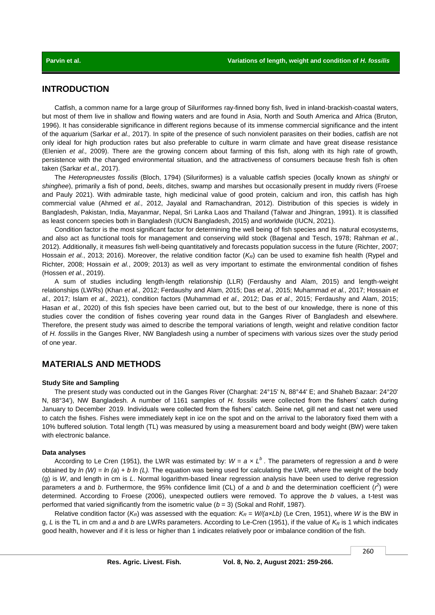# **INTRODUCTION**

Catfish, a common name for a large group of Siluriformes ray-finned bony fish, lived in inland-brackish-coastal waters, but most of them live in shallow and flowing waters and are found in Asia, North and South America and Africa (Bruton, 1996). It has considerable significance in different regions because of its immense commercial significance and the intent of the aquarium (Sarkar *et al.,* 2017). In spite of the presence of such nonviolent parasites on their bodies, catfish are not only ideal for high production rates but also preferable to culture in warm climate and have great disease resistance (Elenien *et al.,* 2009). There are the growing concern about farming of this fish, along with its high rate of growth, persistence with the changed environmental situation, and the attractiveness of consumers because fresh fish is often taken (Sarkar *et al.,* 2017).

The *Heteropneustes fossilis* (Bloch, 1794) (Siluriformes) is a valuable catfish species (locally known as *shinghi* or *shinghee*), primarily a fish of pond, *beels*, ditches, swamp and marshes but occasionally present in muddy rivers (Froese and Pauly 2021). With admirable taste, high medicinal value of good protein, calcium and iron, this catfish has high commercial value (Ahmed *et al.,* 2012, Jayalal and Ramachandran, 2012). Distribution of this species is widely in Bangladesh, Pakistan, India, Mayanmar, Nepal, Sri Lanka Laos and Thailand (Talwar and Jhingran, 1991). It is classified as least concern species both in Bangladesh (IUCN Bangladesh, 2015) and worldwide (IUCN, 2021).

Condition factor is the most significant factor for determining the well being of fish species and its natural ecosystems, and also act as functional tools for management and conserving wild stock (Bagenal and Tesch, 1978; Rahman *et al.*, 2012). Additionally, it measures fish well-being quantitatively and forecasts population success in the future (Richter, 2007; Hossain *et al.*, 2013; 2016). Moreover, the relative condition factor (*KR*) can be used to examine fish health (Rypel and Richter, 2008; Hossain *et al.*, 2009; 2013) as well as very important to estimate the environmental condition of fishes (Hossen *et al.*, 2019).

A sum of studies including length-length relationship (LLR) (Ferdaushy and Alam, 2015) and length-weight relationships (LWRs) (Khan *et al.,* 2012; Ferdaushy and Alam, 2015; Das *et al.,* 2015; Muhammad *et al.,* 2017; Hossain *et al.,* 2017; Islam *et al.,* 2021), condition factors (Muhammad *et al.,* 2012; Das *et al.,* 2015; Ferdaushy and Alam, 2015; Hasan *et al.,* 2020) of this fish species have been carried out, but to the best of our knowledge, there is none of this studies cover the condition of fishes covering year round data in the Ganges River of Bangladesh and elsewhere. Therefore, the present study was aimed to describe the temporal variations of length, weight and relative condition factor of *H. fossilis* in the Ganges River, NW Bangladesh using a number of specimens with various sizes over the study period of one year.

# **MATERIALS AND METHODS**

#### **Study Site and Sampling**

The present study was conducted out in the Ganges River (Charghat: 24°15' N, 88°44' E; and Shaheb Bazaar: 24°20' N, 88°34'), NW Bangladesh. A number of 1161 samples of *H. fossilis* were collected from the fishers' catch during January to December 2019. Individuals were collected from the fishers' catch. Seine net, gill net and cast net were used to catch the fishes. Fishes were immediately kept in ice on the spot and on the arrival to the laboratory fixed them with a 10% buffered solution. Total length (TL) was measured by using a measurement board and body weight (BW) were taken with electronic balance.

### **Data analyses**

According to Le Cren (1951), the LWR was estimated by: *W* = *a* × *L <sup>b</sup>*. The parameters of regression *a* and *b* were obtained by *ln (W) = ln (a*) + *b ln (L).* The equation was being used for calculating the LWR, where the weight of the body (g) is *W*, and length in cm is *L*. Normal logarithm-based linear regression analysis have been used to derive regression parameters *a* and *b*. Furthermore, the 95% confidence limit (CL) of *a* and *b* and the determination coefficient ( $t^2$ ) were determined. According to Froese (2006), unexpected outliers were removed. To approve the *b* values, a t-test was performed that varied significantly from the isometric value (*b* = 3) (Sokal and Rohlf, 1987).

Relative condition factor ( $K_R$ ) was assessed with the equation:  $K_R = W/(axLb)$  (Le Cren, 1951), where W is the BW in g, *L* is the TL in cm and *a* and *b* are LWRs parameters. According to Le-Cren (1951), if the value of *K<sup>R</sup>* is 1 which indicates good health, however and if it is less or higher than 1 indicates relatively poor or imbalance condition of the fish.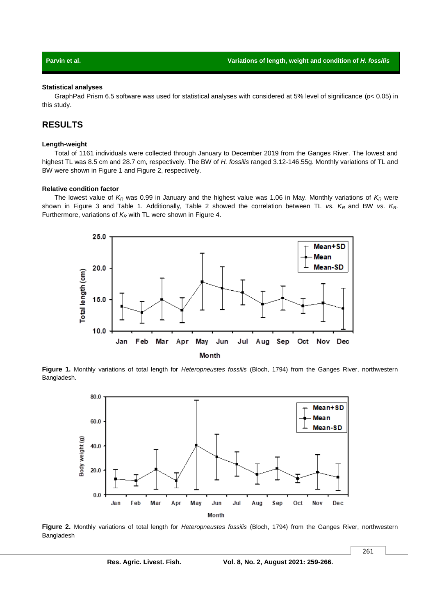#### **Statistical analyses**

GraphPad Prism 6.5 software was used for statistical analyses with considered at 5% level of significance (*p*< 0.05) in this study.

# **RESULTS**

#### **Length-weight**

Total of 1161 individuals were collected through January to December 2019 from the Ganges River. The lowest and highest TL was 8.5 cm and 28.7 cm, respectively. The BW of *H. fossilis* ranged 3.12-146.55g. Monthly variations of TL and BW were shown in Figure 1 and Figure 2, respectively.

### **Relative condition factor**

The lowest value of *K<sup>R</sup>* was 0.99 in January and the highest value was 1.06 in May. Monthly variations of *K<sup>R</sup>* were shown in Figure 3 and Table 1. Additionally, Table 2 showed the correlation between TL *vs. KR* and BW *vs. KR*. Furthermore, variations of *K<sup>R</sup>* with TL were shown in Figure 4.



**Figure 1.** Monthly variations of total length for *Heteropneustes fossilis* (Bloch, 1794) from the Ganges River, northwestern Bangladesh.



**Figure 2.** Monthly variations of total length for *Heteropneustes fossilis* (Bloch, 1794) from the Ganges River, northwestern Bangladesh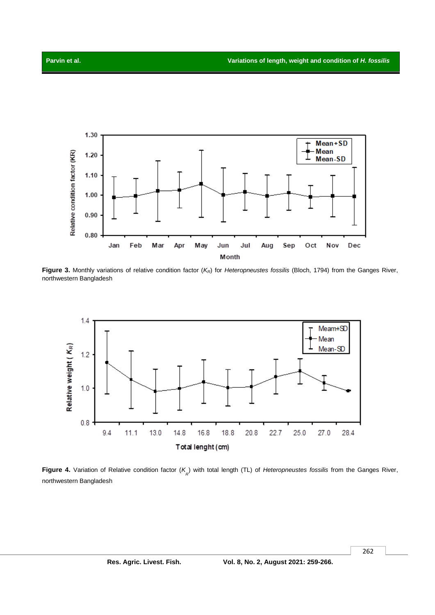

**Figure 3.** Monthly variations of relative condition factor (*KR*) for *Heteropneustes fossilis* (Bloch, 1794) from the Ganges River, northwestern Bangladesh



**Figure 4.** Variation of Relative condition factor (K<sub>R</sub>) with total length (TL) of *Heteropneustes fossilis* from the Ganges River, northwestern Bangladesh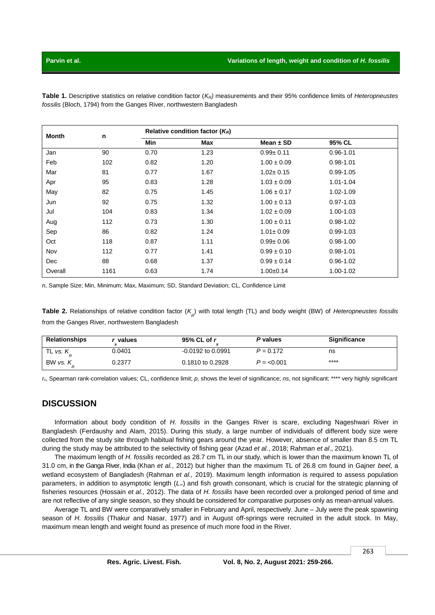**Table 1.** Descriptive statistics on relative condition factor (*KR)* measurements and their 95% confidence limits of *Heteropneustes fossilis* (Bloch, 1794) from the Ganges River, northwestern Bangladesh

| Month   | n    | Relative condition factor $(K_R)$ |            |                 |               |  |
|---------|------|-----------------------------------|------------|-----------------|---------------|--|
|         |      | Min                               | <b>Max</b> | Mean $\pm$ SD   | 95% CL        |  |
| Jan     | 90   | 0.70                              | 1.23       | $0.99 \pm 0.11$ | $0.96 - 1.01$ |  |
| Feb     | 102  | 0.82                              | 1.20       | $1.00 \pm 0.09$ | $0.98 - 1.01$ |  |
| Mar     | 81   | 0.77                              | 1.67       | $1.02 \pm 0.15$ | $0.99 - 1.05$ |  |
| Apr     | 95   | 0.83                              | 1.28       | $1.03 \pm 0.09$ | $1.01 - 1.04$ |  |
| May     | 82   | 0.75                              | 1.45       | $1.06 \pm 0.17$ | 1.02-1.09     |  |
| Jun     | 92   | 0.75                              | 1.32       | $1.00 \pm 0.13$ | $0.97 - 1.03$ |  |
| Jul     | 104  | 0.83                              | 1.34       | $1.02 \pm 0.09$ | 1.00-1.03     |  |
| Aug     | 112  | 0.73                              | 1.30       | $1.00 \pm 0.11$ | $0.98 - 1.02$ |  |
| Sep     | 86   | 0.82                              | 1.24       | $1.01 \pm 0.09$ | $0.99 - 1.03$ |  |
| Oct     | 118  | 0.87                              | 1.11       | $0.99 + 0.06$   | $0.98 - 1.00$ |  |
| Nov     | 112  | 0.77                              | 1.41       | $0.99 \pm 0.10$ | $0.98 - 1.01$ |  |
| Dec     | 88   | 0.68                              | 1.37       | $0.99 \pm 0.14$ | $0.96 - 1.02$ |  |
| Overall | 1161 | 0.63                              | 1.74       | $1.00+0.14$     | 1.00-1.02     |  |

*n*, Sample Size; Min, Minimum; Max, Maximum; SD, Standard Deviation; CL, Confidence Limit

Table 2. Relationships of relative condition factor (K<sub>R</sub>) with total length (TL) and body weight (BW) of *Heteropneustes fossilis* from the Ganges River, northwestern Bangladesh

| <b>Relationships</b> | values | $95\%$ CL of r        | P values    | <b>Significance</b> |
|----------------------|--------|-----------------------|-------------|---------------------|
| TL vs. $K$           | 0.0401 | $-0.0192$ to $0.0991$ | $P = 0.172$ | ns                  |
| BW vs. K             | 0.2377 | 0.1810 to 0.2928      | $P = 0.001$ | ****                |

*rs*, Spearman rank-correlation values; CL, confidence limit; *p*, shows the level of significance; *ns*, not significant; \*\*\*\* very highly significant

## **DISCUSSION**

Information about body condition of *H. fossilis* in the Ganges River is scare, excluding Nageshwari River in Bangladesh (Ferdaushy and Alam, 2015). During this study, a large number of individuals of different body size were collected from the study site through habitual fishing gears around the year. However, absence of smaller than 8.5 cm TL during the study may be attributed to the selectivity of fishing gear (Azad *et al.*, 2018; Rahman *et al*., 2021).

The maximum length of *H. fossilis* recorded as 28.7 cm TL in our study, which is lower than the maximum known TL of 31.0 cm, in the Ganga River, India (Khan *et al.*, 2012) but higher than the maximum TL of 26.8 cm found in Gajner *beel*, a wetland ecosystem of Bangladesh (Rahman *et al.,* 2019). Maximum length information is required to assess population parameters, in addition to asymptotic length (*L∞*) and fish growth consonant, which is crucial for the strategic planning of fisheries resources (Hossain *et al.,* 2012). The data of *H. fossilis* have been recorded over a prolonged period of time and are not reflective of any single season, so they should be considered for comparative purposes only as mean-annual values.

Average TL and BW were comparatively smaller in February and April, respectively. June – July were the peak spawning season of *H. fossilis* (Thakur and Nasar, 1977) and in August off-springs were recruited in the adult stock. In May, maximum mean length and weight found as presence of much more food in the River.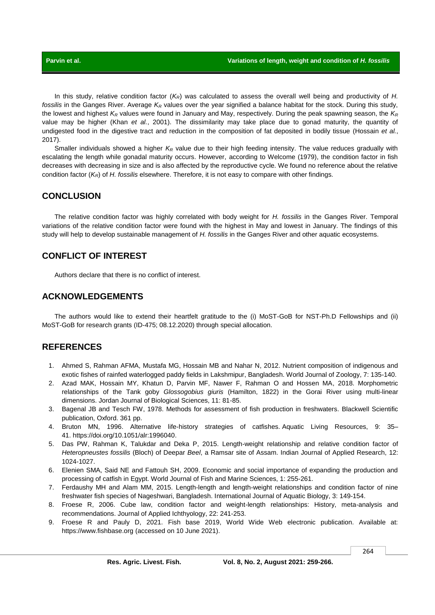In this study, relative condition factor (*KR*) was calculated to assess the overall well being and productivity of *H. fossilis* in the Ganges River. Average *K<sup>R</sup>* values over the year signified a balance habitat for the stock. During this study, the lowest and highest *K<sup>R</sup>* values were found in January and May, respectively. During the peak spawning season, the *K<sup>R</sup>* value may be higher (Khan *et al.*, 2001). The dissimilarity may take place due to gonad maturity, the quantity of undigested food in the digestive tract and reduction in the composition of fat deposited in bodily tissue (Hossain *et al.*, 2017).

Smaller individuals showed a higher *K<sup>R</sup>* value due to their high feeding intensity. The value reduces gradually with escalating the length while gonadal maturity occurs. However, according to Welcome (1979), the condition factor in fish decreases with decreasing in size and is also affected by the reproductive cycle. We found no reference about the relative condition factor (*KR*) of *H. fossilis* elsewhere. Therefore, it is not easy to compare with other findings.

## **CONCLUSION**

The relative condition factor was highly correlated with body weight for *H. fossilis* in the Ganges River. Temporal variations of the relative condition factor were found with the highest in May and lowest in January. The findings of this study will help to develop sustainable management of *H. fossilis* in the Ganges River and other aquatic ecosystems.

# **CONFLICT OF INTEREST**

Authors declare that there is no conflict of interest.

# **ACKNOWLEDGEMENTS**

The authors would like to extend their heartfelt gratitude to the (i) MoST-GoB for NST-Ph.D Fellowships and (ii) MoST-GoB for research grants (ID-475; 08.12.2020) through special allocation.

## **REFERENCES**

- 1. Ahmed S, Rahman AFMA, Mustafa MG, Hossain MB and Nahar N, 2012. Nutrient composition of indigenous and exotic fishes of rainfed waterlogged paddy fields in Lakshmipur, Bangladesh. World Journal of Zoology, 7: 135-140.
- 2. Azad MAK, Hossain MY, Khatun D, Parvin MF, Nawer F, Rahman O and Hossen MA, 2018. Morphometric relationships of the Tank goby *Glossogobius giuris* (Hamilton, 1822) in the Gorai River using multi-linear dimensions. Jordan Journal of Biological Sciences, 11: 81-85.
- 3. Bagenal JB and Tesch FW, 1978. Methods for assessment of fish production in freshwaters*.* Blackwell Scientific publication, Oxford. 361 pp.
- 4. Bruton MN, 1996. Alternative life-history strategies of catfishes. Aquatic Living Resources, 9: 35– 41. [https://doi.org/10.1051/alr:1996040.](https://doi.org/10.1051/alr:1996040)
- 5. Das PW, Rahman K, Talukdar and Deka P, 2015. Length-weight relationship and relative condition factor of *Heteropneustes fossilis* (Bloch) of Deepar *Beel*, a Ramsar site of Assam. Indian Journal of Applied Research, 12: 1024-1027.
- 6. Elenien SMA, Said NE and Fattouh SH, 2009. Economic and social importance of expanding the production and processing of catfish in Egypt. World Journal of Fish and Marine Sciences, 1: 255-261.
- 7. Ferdaushy MH and Alam MM, 2015. Length-length and length-weight relationships and condition factor of nine freshwater fish species of Nageshwari, Bangladesh. International Journal of Aquatic Biology, 3: 149-154.
- 8. Froese R, 2006. Cube law, condition factor and weight-length relationships: History, meta-analysis and recommendations. Journal of Applied Ichthyology, 22: 241-253.
- 9. Froese R and Pauly D, 2021. Fish base 2019, World Wide Web electronic publication. Available at: [https://www.fishbase.org](https://www.fishbase.org/) (accessed on 10 June 2021).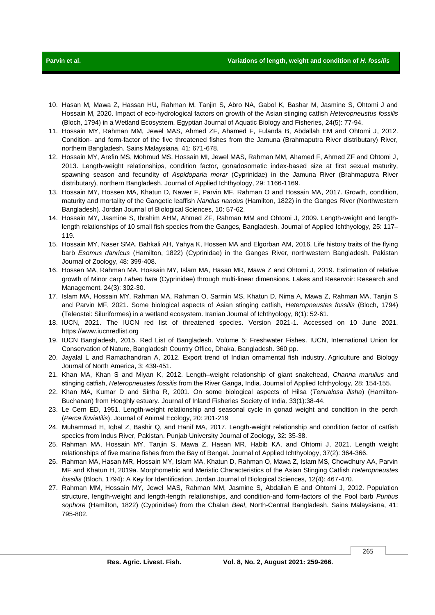- 10. Hasan M, Mawa Z, Hassan HU, Rahman M, Tanjin S, Abro NA, Gabol K, Bashar M, Jasmine S, Ohtomi J and Hossain M, 2020. Impact of eco-hydrological factors on growth of the Asian stinging catfish *Heteropneustus fossilis* (Bloch, 1794) in a Wetland Ecosystem. Egyptian Journal of Aquatic Biology and Fisheries, 24(5): 77-94.
- 11. Hossain MY, Rahman MM, Jewel MAS, Ahmed ZF, Ahamed F, Fulanda B, Abdallah EM and Ohtomi J, 2012. Condition- and form-factor of the five threatened fishes from the Jamuna (Brahmaputra River distributary) River, northern Bangladesh. Sains Malaysiana, 41: 671-678.
- 12. Hossain MY, Arefin MS, Mohmud MS, Hossain MI, Jewel MAS, Rahman MM, Ahamed F, Ahmed ZF and Ohtomi J, 2013. Length‐weight relationships, condition factor, gonadosomatic index‐based size at first sexual maturity, spawning season and fecundity of *Aspidoparia morar* (Cyprinidae) in the Jamuna River (Brahmaputra River distributary), northern Bangladesh. Journal of Applied Ichthyology, 29: 1166-1169.
- 13. Hossain MY, Hossen MA, Khatun D, Nawer F, Parvin MF, Rahman O and Hossain MA, 2017. Growth, condition, maturity and mortality of the Gangetic leaffish *Nandus nandus* (Hamilton, 1822) in the Ganges River (Northwestern Bangladesh). Jordan Journal of Biological Sciences, 10: 57-62.
- 14. Hossain MY, Jasmine S, Ibrahim AHM, Ahmed ZF, Rahman MM and Ohtomi J, 2009. Length-weight and lengthlength relationships of 10 small fish species from the Ganges, Bangladesh. Journal of Applied Ichthyology, 25: 117– 119.
- 15. Hossain MY, Naser SMA, Bahkali AH, Yahya K, Hossen MA and Elgorban AM, 2016. Life history traits of the flying barb *Esomus danricus* (Hamilton, 1822) (Cyprinidae) in the Ganges River, northwestern Bangladesh. Pakistan Journal of Zoology, 48: 399-408.
- 16. Hossen MA, Rahman MA, Hossain MY, Islam MA, Hasan MR, Mawa Z and Ohtomi J, 2019. Estimation of relative growth of Minor carp *Labeo bata* (Cyprinidae) through multi‐linear dimensions. Lakes and Reservoir: Research and Management, 24(3): 302-30.
- 17. Islam MA, Hossain MY, Rahman MA, Rahman O, Sarmin MS, Khatun D, Nima A, Mawa Z, Rahman MA, Tanjin S and Parvin MF, 2021. Some biological aspects of Asian stinging catfish, *Heteropneustes fossilis* (Bloch, 1794) (Teleostei: Siluriformes) in a wetland ecosystem. Iranian Journal of Ichthyology, 8(1): 52-61.
- 18. IUCN, 2021. The IUCN red list of threatened species. Version 2021-1. Accessed on 10 June 2021. https:[//www.iucnredlist.org](http://www.iucnredlist.org/)
- 19. IUCN Bangladesh, 2015. Red List of Bangladesh. Volume 5: Freshwater Fishes. IUCN, International Union for Conservation of Nature, Bangladesh Country Office, Dhaka, Bangladesh. 360 pp.
- 20. Jayalal L and Ramachandran A, 2012. Export trend of Indian ornamental fish industry. Agriculture and Biology Journal of North America, 3: 439-451.
- 21. Khan MA, Khan S and Miyan K, 2012. Length–weight relationship of giant snakehead, *Channa marulius* and stinging catfish, *Heteropneustes fossilis* from the River Ganga, India. Journal of Applied Ichthyology, 28: 154-155.
- 22. Khan MA, Kumar D and Sinha R, 2001. On some biological aspects of Hilsa (*Tenualosa ilisha*) (Hamilton-Buchanan) from Hooghly estuary. Journal of Inland Fisheries Society of India*,* 33(1):38-44.
- 23. Le Cern ED, 1951. Length-weight relationship and seasonal cycle in gonad weight and condition in the perch (*Perca fluviatilis*). Journal of Animal Ecology, 20: 201-219
- 24. Muhammad H, Iqbal Z, Bashir Q, and Hanif MA, 2017. Length-weight relationship and condition factor of catfish species from Indus River, Pakistan. Punjab University Journal of Zoology, 32: 35-38.
- 25. Rahman MA, Hossain MY, Tanjin S, Mawa Z, Hasan MR, Habib KA, and Ohtomi J, 2021. Length weight relationships of five marine fishes from the Bay of Bengal. Journal of Applied Ichthyology, 37(2): 364-366.
- 26. Rahman MA, Hasan MR, Hossain MY, Islam MA, Khatun D, Rahman O, Mawa Z, Islam MS, Chowdhury AA, Parvin MF and Khatun H, 2019a. Morphometric and Meristic Characteristics of the Asian Stinging Catfish *Heteropneustes fossilis* (Bloch, 1794): A Key for Identification. Jordan Journal of Biological Sciences, 12(4): 467-470.
- 27. Rahman MM, Hossain MY, Jewel MAS, Rahman MM, Jasmine S, Abdallah E and Ohtomi J, 2012. Population structure, length-weight and length-length relationships, and condition-and form-factors of the Pool barb *Puntius sophore* (Hamilton, 1822) (Cyprinidae) from the Chalan *Beel*, North-Central Bangladesh. Sains Malaysiana, 41: 795-802.